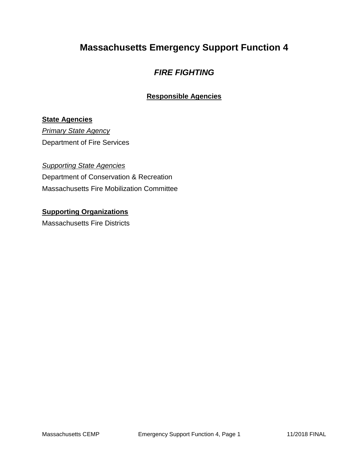# **Massachusetts Emergency Support Function 4**

### *FIRE FIGHTING*

### **Responsible Agencies**

#### **State Agencies**

*Primary State Agency* Department of Fire Services

#### *Supporting State Agencies*

Department of Conservation & Recreation Massachusetts Fire Mobilization Committee

# **Supporting Organizations**

Massachusetts Fire Districts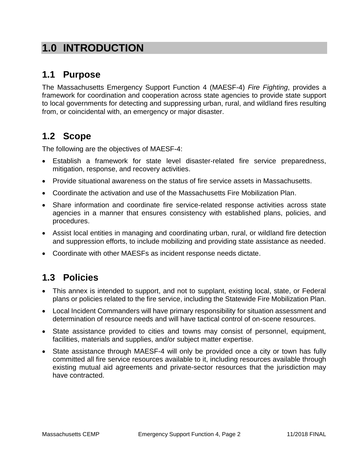# **1.0 INTRODUCTION**

## **1.1 Purpose**

The Massachusetts Emergency Support Function 4 (MAESF-4) *Fire Fighting*, provides a framework for coordination and cooperation across state agencies to provide state support to local governments for detecting and suppressing urban, rural, and wildland fires resulting from, or coincidental with, an emergency or major disaster.

### **1.2 Scope**

The following are the objectives of MAESF-4:

- Establish a framework for state level disaster-related fire service preparedness, mitigation, response, and recovery activities.
- Provide situational awareness on the status of fire service assets in Massachusetts.
- Coordinate the activation and use of the Massachusetts Fire Mobilization Plan.
- Share information and coordinate fire service-related response activities across state agencies in a manner that ensures consistency with established plans, policies, and procedures.
- Assist local entities in managing and coordinating urban, rural, or wildland fire detection and suppression efforts, to include mobilizing and providing state assistance as needed.
- Coordinate with other MAESFs as incident response needs dictate.

## **1.3 Policies**

- This annex is intended to support, and not to supplant, existing local, state, or Federal plans or policies related to the fire service, including the Statewide Fire Mobilization Plan.
- Local Incident Commanders will have primary responsibility for situation assessment and determination of resource needs and will have tactical control of on-scene resources.
- State assistance provided to cities and towns may consist of personnel, equipment, facilities, materials and supplies, and/or subject matter expertise.
- State assistance through MAESF-4 will only be provided once a city or town has fully committed all fire service resources available to it, including resources available through existing mutual aid agreements and private-sector resources that the jurisdiction may have contracted.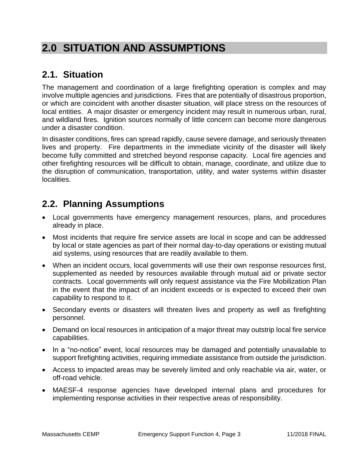# **2.0 SITUATION AND ASSUMPTIONS**

## **2.1. Situation**

The management and coordination of a large firefighting operation is complex and may involve multiple agencies and jurisdictions. Fires that are potentially of disastrous proportion, or which are coincident with another disaster situation, will place stress on the resources of local entities. A major disaster or emergency incident may result in numerous urban, rural, and wildland fires. Ignition sources normally of little concern can become more dangerous under a disaster condition.

In disaster conditions, fires can spread rapidly, cause severe damage, and seriously threaten lives and property. Fire departments in the immediate vicinity of the disaster will likely become fully committed and stretched beyond response capacity. Local fire agencies and other firefighting resources will be difficult to obtain, manage, coordinate, and utilize due to the disruption of communication, transportation, utility, and water systems within disaster localities.

## **2.2. Planning Assumptions**

- Local governments have emergency management resources, plans, and procedures already in place.
- Most incidents that require fire service assets are local in scope and can be addressed by local or state agencies as part of their normal day-to-day operations or existing mutual aid systems, using resources that are readily available to them.
- When an incident occurs, local governments will use their own response resources first, supplemented as needed by resources available through mutual aid or private sector contracts. Local governments will only request assistance via the Fire Mobilization Plan in the event that the impact of an incident exceeds or is expected to exceed their own capability to respond to it.
- Secondary events or disasters will threaten lives and property as well as firefighting personnel.
- Demand on local resources in anticipation of a major threat may outstrip local fire service capabilities.
- In a "no-notice" event, local resources may be damaged and potentially unavailable to support firefighting activities, requiring immediate assistance from outside the jurisdiction.
- Access to impacted areas may be severely limited and only reachable via air, water, or off-road vehicle.
- MAESF-4 response agencies have developed internal plans and procedures for implementing response activities in their respective areas of responsibility.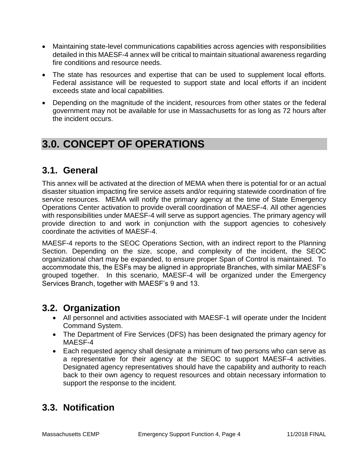- Maintaining state-level communications capabilities across agencies with responsibilities detailed in this MAESF-4 annex will be critical to maintain situational awareness regarding fire conditions and resource needs.
- The state has resources and expertise that can be used to supplement local efforts. Federal assistance will be requested to support state and local efforts if an incident exceeds state and local capabilities.
- Depending on the magnitude of the incident, resources from other states or the federal government may not be available for use in Massachusetts for as long as 72 hours after the incident occurs.

# **3.0. CONCEPT OF OPERATIONS**

### **3.1. General**

This annex will be activated at the direction of MEMA when there is potential for or an actual disaster situation impacting fire service assets and/or requiring statewide coordination of fire service resources. MEMA will notify the primary agency at the time of State Emergency Operations Center activation to provide overall coordination of MAESF-4. All other agencies with responsibilities under MAESF-4 will serve as support agencies. The primary agency will provide direction to and work in conjunction with the support agencies to cohesively coordinate the activities of MAESF-4.

MAESF-4 reports to the SEOC Operations Section, with an indirect report to the Planning Section. Depending on the size, scope, and complexity of the incident, the SEOC organizational chart may be expanded, to ensure proper Span of Control is maintained. To accommodate this, the ESFs may be aligned in appropriate Branches, with similar MAESF's grouped together. In this scenario, MAESF-4 will be organized under the Emergency Services Branch, together with MAESF's 9 and 13.

### **3.2. Organization**

- All personnel and activities associated with MAESF-1 will operate under the Incident Command System.
- The Department of Fire Services (DFS) has been designated the primary agency for MAESF-4
- Each requested agency shall designate a minimum of two persons who can serve as a representative for their agency at the SEOC to support MAESF-4 activities. Designated agency representatives should have the capability and authority to reach back to their own agency to request resources and obtain necessary information to support the response to the incident.

## **3.3. Notification**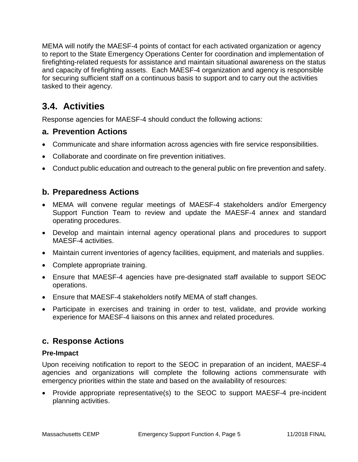MEMA will notify the MAESF-4 points of contact for each activated organization or agency to report to the State Emergency Operations Center for coordination and implementation of firefighting-related requests for assistance and maintain situational awareness on the status and capacity of firefighting assets. Each MAESF-4 organization and agency is responsible for securing sufficient staff on a continuous basis to support and to carry out the activities tasked to their agency.

## **3.4. Activities**

Response agencies for MAESF-4 should conduct the following actions:

### **a. Prevention Actions**

- Communicate and share information across agencies with fire service responsibilities.
- Collaborate and coordinate on fire prevention initiatives.
- Conduct public education and outreach to the general public on fire prevention and safety.

### **b. Preparedness Actions**

- MEMA will convene regular meetings of MAESF-4 stakeholders and/or Emergency Support Function Team to review and update the MAESF-4 annex and standard operating procedures.
- Develop and maintain internal agency operational plans and procedures to support MAESF-4 activities.
- Maintain current inventories of agency facilities, equipment, and materials and supplies.
- Complete appropriate training.
- Ensure that MAESF-4 agencies have pre-designated staff available to support SEOC operations.
- Ensure that MAESF-4 stakeholders notify MEMA of staff changes.
- Participate in exercises and training in order to test, validate, and provide working experience for MAESF-4 liaisons on this annex and related procedures.

### **c. Response Actions**

#### **Pre-Impact**

Upon receiving notification to report to the SEOC in preparation of an incident, MAESF-4 agencies and organizations will complete the following actions commensurate with emergency priorities within the state and based on the availability of resources:

 Provide appropriate representative(s) to the SEOC to support MAESF-4 pre-incident planning activities.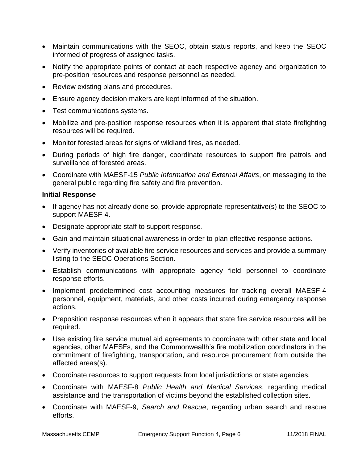- Maintain communications with the SEOC, obtain status reports, and keep the SEOC informed of progress of assigned tasks.
- Notify the appropriate points of contact at each respective agency and organization to pre-position resources and response personnel as needed.
- Review existing plans and procedures.
- Ensure agency decision makers are kept informed of the situation.
- Test communications systems.
- Mobilize and pre-position response resources when it is apparent that state firefighting resources will be required.
- Monitor forested areas for signs of wildland fires, as needed.
- During periods of high fire danger, coordinate resources to support fire patrols and surveillance of forested areas.
- Coordinate with MAESF-15 *Public Information and External Affairs*, on messaging to the general public regarding fire safety and fire prevention.

#### **Initial Response**

- If agency has not already done so, provide appropriate representative(s) to the SEOC to support MAESF-4.
- Designate appropriate staff to support response.
- Gain and maintain situational awareness in order to plan effective response actions.
- Verify inventories of available fire service resources and services and provide a summary listing to the SEOC Operations Section.
- Establish communications with appropriate agency field personnel to coordinate response efforts.
- Implement predetermined cost accounting measures for tracking overall MAESF-4 personnel, equipment, materials, and other costs incurred during emergency response actions.
- Preposition response resources when it appears that state fire service resources will be required.
- Use existing fire service mutual aid agreements to coordinate with other state and local agencies, other MAESFs, and the Commonwealth's fire mobilization coordinators in the commitment of firefighting, transportation, and resource procurement from outside the affected areas(s).
- Coordinate resources to support requests from local jurisdictions or state agencies.
- Coordinate with MAESF-8 *Public Health and Medical Services*, regarding medical assistance and the transportation of victims beyond the established collection sites.
- Coordinate with MAESF-9, *Search and Rescue*, regarding urban search and rescue efforts.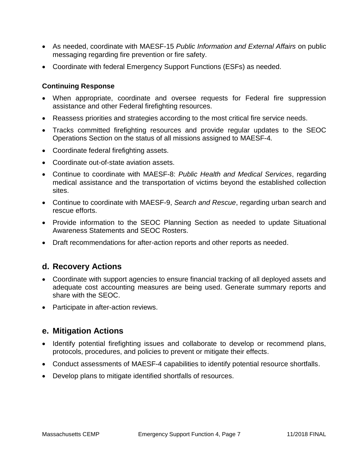- As needed, coordinate with MAESF-15 *Public Information and External Affairs* on public messaging regarding fire prevention or fire safety.
- Coordinate with federal Emergency Support Functions (ESFs) as needed.

#### **Continuing Response**

- When appropriate, coordinate and oversee requests for Federal fire suppression assistance and other Federal firefighting resources.
- Reassess priorities and strategies according to the most critical fire service needs.
- Tracks committed firefighting resources and provide regular updates to the SEOC Operations Section on the status of all missions assigned to MAESF-4*.*
- Coordinate federal firefighting assets.
- Coordinate out-of-state aviation assets.
- Continue to coordinate with MAESF-8: *Public Health and Medical Services*, regarding medical assistance and the transportation of victims beyond the established collection sites.
- Continue to coordinate with MAESF-9, *Search and Rescue*, regarding urban search and rescue efforts.
- Provide information to the SEOC Planning Section as needed to update Situational Awareness Statements and SEOC Rosters.
- Draft recommendations for after-action reports and other reports as needed.

### **d. Recovery Actions**

- Coordinate with support agencies to ensure financial tracking of all deployed assets and adequate cost accounting measures are being used. Generate summary reports and share with the SEOC.
- Participate in after-action reviews.

### **e. Mitigation Actions**

- Identify potential firefighting issues and collaborate to develop or recommend plans, protocols, procedures, and policies to prevent or mitigate their effects.
- Conduct assessments of MAESF-4 capabilities to identify potential resource shortfalls.
- Develop plans to mitigate identified shortfalls of resources.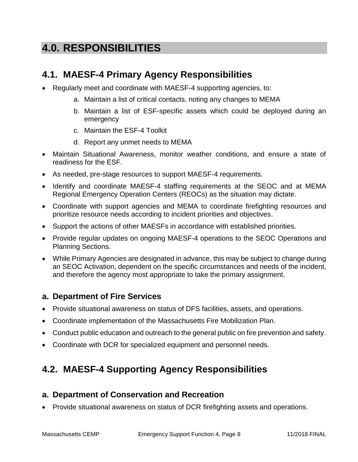# **4.0. RESPONSIBILITIES**

### **4.1. MAESF-4 Primary Agency Responsibilities**

- Regularly meet and coordinate with MAESF-4 supporting agencies, to:
	- a. Maintain a list of critical contacts, noting any changes to MEMA
	- b. Maintain a list of ESF-specific assets which could be deployed during an emergency
	- c. Maintain the ESF-4 Toolkit
	- d. Report any unmet needs to MEMA
- Maintain Situational Awareness, monitor weather conditions, and ensure a state of readiness for the ESF.
- As needed, pre-stage resources to support MAESF-4 requirements.
- Identify and coordinate MAESF-4 staffing requirements at the SEOC and at MEMA Regional Emergency Operation Centers (REOCs) as the situation may dictate.
- Coordinate with support agencies and MEMA to coordinate firefighting resources and prioritize resource needs according to incident priorities and objectives.
- Support the actions of other MAESFs in accordance with established priorities.
- Provide regular updates on ongoing MAESF-4 operations to the SEOC Operations and Planning Sections.
- While Primary Agencies are designated in advance, this may be subject to change during an SEOC Activation, dependent on the specific circumstances and needs of the incident, and therefore the agency most appropriate to take the primary assignment.

### **a. Department of Fire Services**

- Provide situational awareness on status of DFS facilities, assets, and operations.
- Coordinate implementation of the Massachusetts Fire Mobilization Plan.
- Conduct public education and outreach to the general public on fire prevention and safety.
- Coordinate with DCR for specialized equipment and personnel needs.

## **4.2. MAESF-4 Supporting Agency Responsibilities**

### **a. Department of Conservation and Recreation**

Provide situational awareness on status of DCR firefighting assets and operations.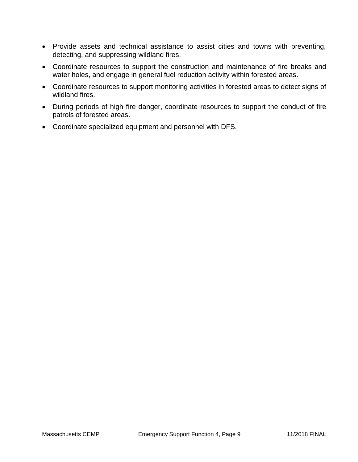- Provide assets and technical assistance to assist cities and towns with preventing, detecting, and suppressing wildland fires.
- Coordinate resources to support the construction and maintenance of fire breaks and water holes, and engage in general fuel reduction activity within forested areas.
- Coordinate resources to support monitoring activities in forested areas to detect signs of wildland fires.
- During periods of high fire danger, coordinate resources to support the conduct of fire patrols of forested areas.
- Coordinate specialized equipment and personnel with DFS.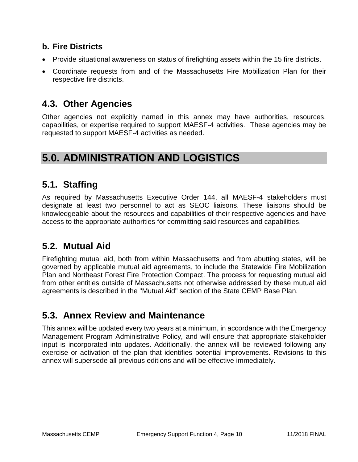### **b. Fire Districts**

- Provide situational awareness on status of firefighting assets within the 15 fire districts.
- Coordinate requests from and of the Massachusetts Fire Mobilization Plan for their respective fire districts.

### **4.3. Other Agencies**

Other agencies not explicitly named in this annex may have authorities, resources, capabilities, or expertise required to support MAESF-4 activities. These agencies may be requested to support MAESF-4 activities as needed.

## **5.0. ADMINISTRATION AND LOGISTICS**

### **5.1. Staffing**

As required by Massachusetts Executive Order 144, all MAESF-4 stakeholders must designate at least two personnel to act as SEOC liaisons. These liaisons should be knowledgeable about the resources and capabilities of their respective agencies and have access to the appropriate authorities for committing said resources and capabilities.

### **5.2. Mutual Aid**

Firefighting mutual aid, both from within Massachusetts and from abutting states, will be governed by applicable mutual aid agreements, to include the Statewide Fire Mobilization Plan and Northeast Forest Fire Protection Compact. The process for requesting mutual aid from other entities outside of Massachusetts not otherwise addressed by these mutual aid agreements is described in the "Mutual Aid" section of the State CEMP Base Plan.

## **5.3. Annex Review and Maintenance**

This annex will be updated every two years at a minimum, in accordance with the Emergency Management Program Administrative Policy, and will ensure that appropriate stakeholder input is incorporated into updates. Additionally, the annex will be reviewed following any exercise or activation of the plan that identifies potential improvements. Revisions to this annex will supersede all previous editions and will be effective immediately.